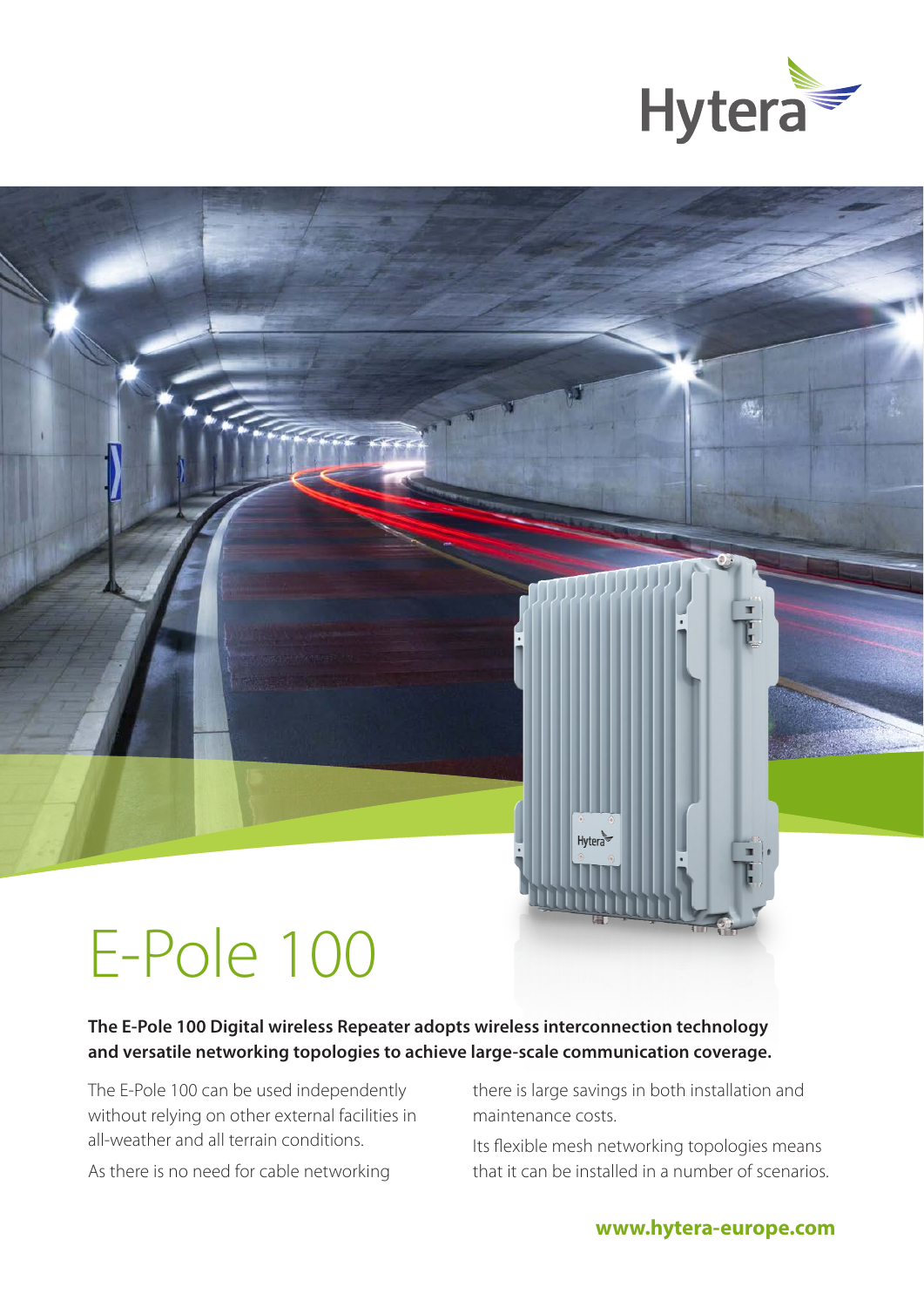

# E-Pole 100

#### **The E-Pole 100 Digital wireless Repeater adopts wireless interconnection technology and versatile networking topologies to achieve large-scale communication coverage.**

The E-Pole 100 can be used independently without relying on other external facilities in all-weather and all terrain conditions.

As there is no need for cable networking

there is large savings in both installation and maintenance costs.

Hytera

Its flexible mesh networking topologies means that it can be installed in a number of scenarios.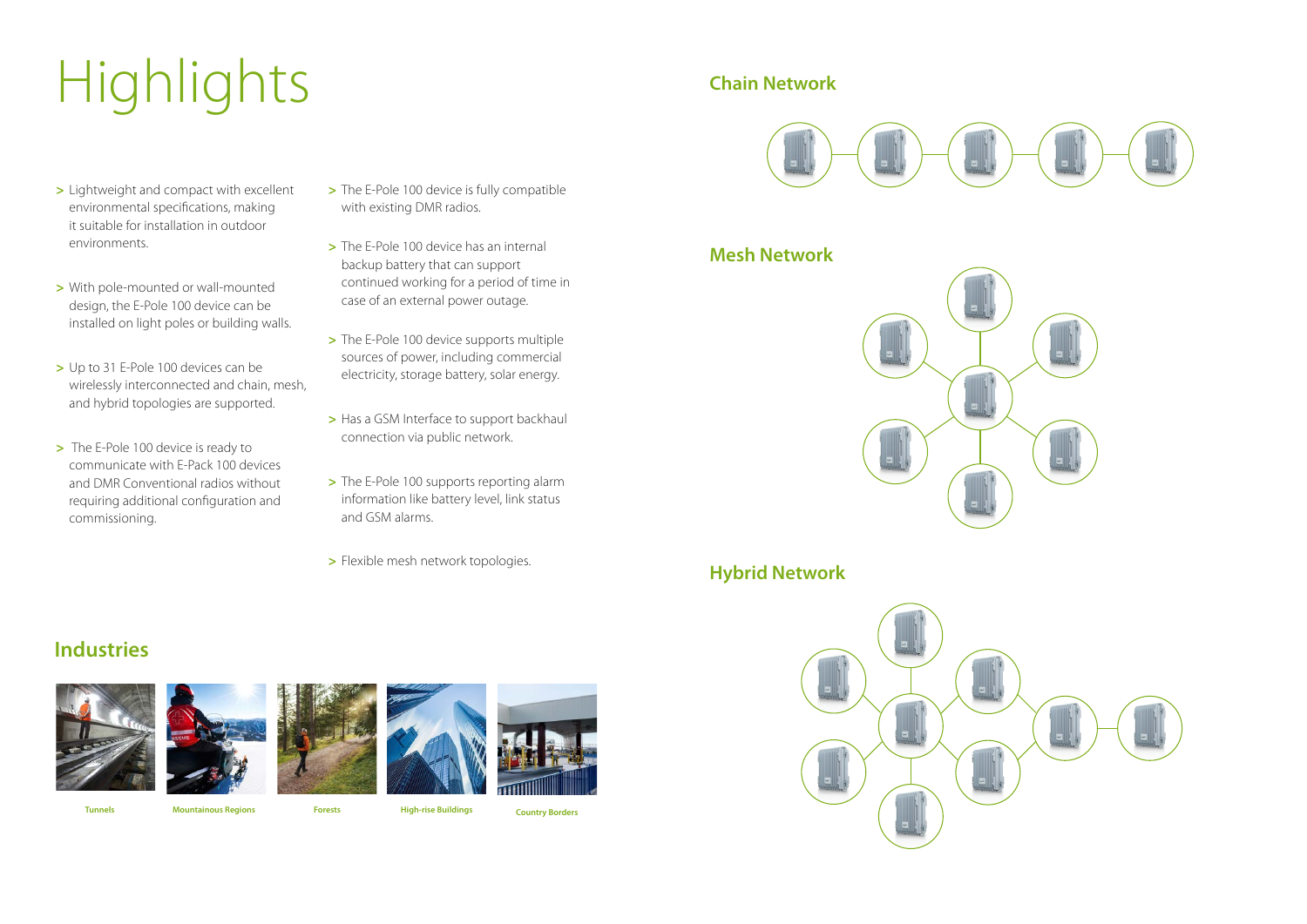## **Industries**











# Highlights

**Tunnels Mountainous Regions Forests High-rise Buildings Country Borders** 

- **>** Lightweight and compact with excellent environmental specifications, making it suitable for installation in outdoor environments.
- **>** With pole-mounted or wall-mounted design, the E-Pole 100 device can be installed on light poles or building walls.
- **>** Up to 31 E-Pole 100 devices can be wirelessly interconnected and chain, mesh, and hybrid topologies are supported.
- **>** The E-Pole 100 device is ready to communicate with E-Pack 100 devices and DMR Conventional radios without requiring additional configuration and commissioning.
- **>** The E-Pole 100 device is fully compatible with existing DMR radios.
- **>** The E-Pole 100 device has an internal backup battery that can support continued working for a period of time in case of an external power outage.
- **>** The E-Pole 100 device supports multiple sources of power, including commercial electricity, storage battery, solar energy.
- **>** Has a GSM Interface to support backhaul connection via public network.
- **>** The E-Pole 100 supports reporting alarm information like battery level, link status and GSM alarms.
- **>** Flexible mesh network topologies.

### **Chain Network**



### **Mesh Network**



#### **Hybrid Network**